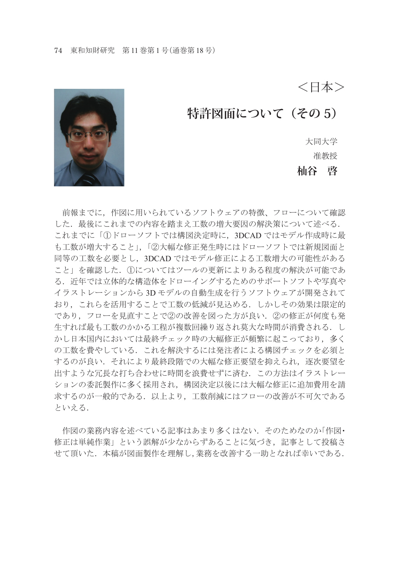<日本>

## 特許図面について (その 5)

大同大学 准教授 **杣谷 啓**



前報までに,作図に用いられているソフトウェアの特徴、フローについて確認 した. 最後にこれまでの内容を踏まえ工数の増大要因の解決策について述べる. これまでに「①ドローソフトでは構図決定時に,3DCAD ではモデル作成時に最 も工数が増大すること」,「②大幅な修正発生時にはドローソフトでは新規図面と 同等の工数を必要とし,3DCAD ではモデル修正による工数増大の可能性がある こと」を確認した. ①についてはツールの更新によりある程度の解決が可能であ る.近年では立体的な構造体をドローイングするためのサポートソフトや写真や イラストレーションから 3D モデルの自動生成を行うソフトウェアが開発されて おり,これらを活用することで工数の低減が見込める.しかしその効果は限定的 であり,フローを見直すことで②の改善を図った方が良い.②の修正が何度も発 生すれば最も工数のかかる工程が複数回繰り返され莫大な時間が消費される. し かし日本国内においては最終チェック時の大幅修正が頻繁に起こっており、多く の工数を費やしている.これを解決するには発注者による構図チェックを必須と するのが良い.それにより最終段階での大幅な修正要望を抑えられ,逐次要望を 出すような冗長な打ち合わせに時間を浪費せずに済む.この方法はイラストレー ションの委託製作に多く採用され,構図決定以後には大幅な修正に追加費用を請 求するのが一般的である.以上より,工数削減にはフローの改善が不可欠である といえる.

作図の業務内容を述べている記事はあまり多くはない. そのためなのか「作図• 修正は単純作業」という誤解が少なからずあることに気づき、記事として投稿さ せて頂いた.本稿が図面製作を理解し,業務を改善する一助となれば幸いである.